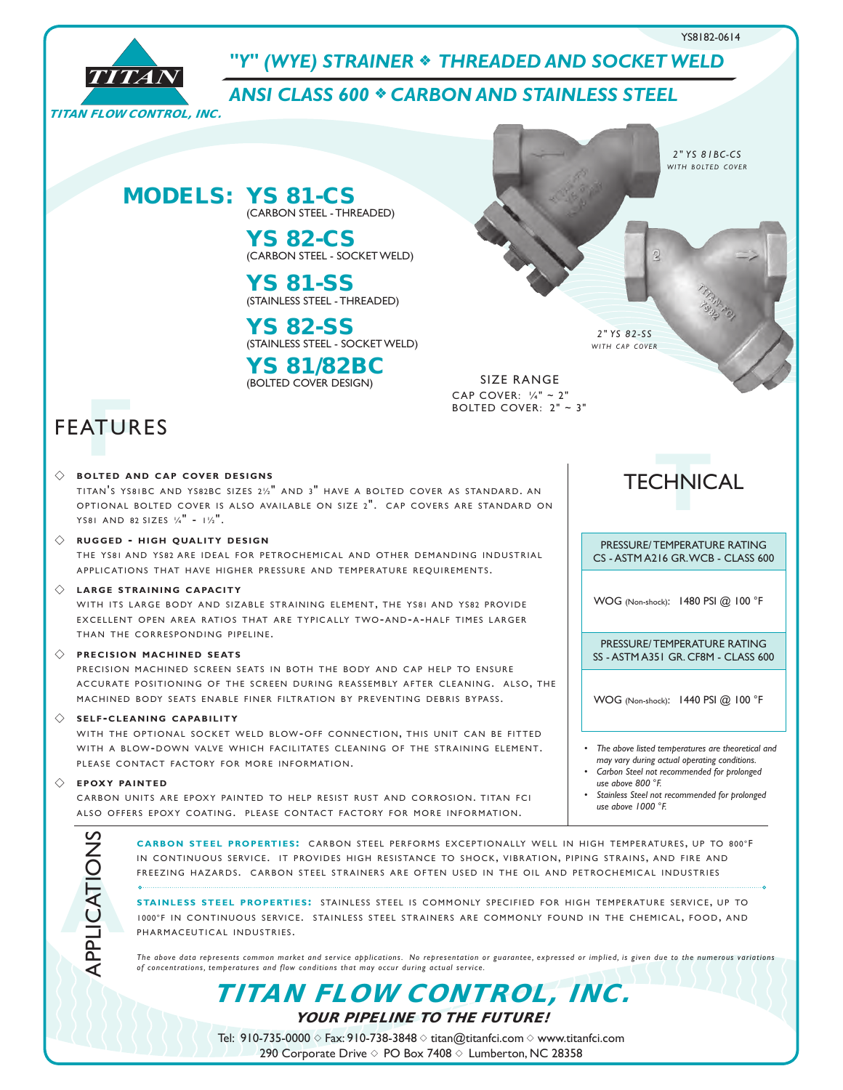

*2" YS 81BC-CS <i>with BOLTED COVER* 



## *"Y" (WYE) STRAINER* <sup>f</sup> *THREADED AND SOCKET WELD*

*ANSI CLASS 600* <sup>f</sup> *CARBON AND STAINLESS STEEL*

## MODELS: YS 81-CS (CARBON STEEL - THREADED)

YS 82-CS (CARBON STEEL - SOCKET WELD)

YS 81-SS (STAINLESS STEEL - THREADED)

YS 82-SS (STAINLESS STEEL - SOCKET WELD)

YS 81/82BC (BOLTED COVER DESIGN) SIZE RANGE

CAP COVER: ¼" ~ 2" BOLTED COVER:  $2" \sim 3"$ 

# **FEATURES**

#### $\Diamond$  **bolted and cap cover designs**

TITAN'S YS81BC AND YS82BC SIZES 21/2" AND 3" HAVE A BOLTED COVER AS STANDARD. AN OPTIONAL BOLTED COVER IS ALSO AVAILABLE ON SIZE 2". CAP COVERS ARE STANDARD ON YS81 AND 82 SIZES  $\frac{1}{4}$  -  $\frac{1}{2}$ .

#### $\Diamond$  RUGGED - HIGH QUALITY DESIGN

THE YS81 AND YS82 ARE IDEAL FOR PETROCHEMICAL AND OTHER DEMANDING INDUSTRIAL APPLICATIONS THAT HAVE HIGHER PRESSURE AND TEMPERATURE REQUIREMENTS.

#### $\Diamond$  **LARGE STRAINING CAPACITY**

WITH ITS LARGE BODY AND SIZABLE STRAINING ELEMENT. THE YS81 AND YS82 PROVIDE EXCELLENT OPEN AREA RATIOS THAT ARE TYPICALLY TWO-AND-A-HALF TIMES LARGER THAN THE CORRESPONDING PIPFLINE.

#### **PRECISION MACHINED SEATS**

PRECISION MACHINED SCREEN SEATS IN BOTH THE BODY AND CAP HELP TO ENSURE ACCURATE POSITIONING OF THE SCREEN DURING REASSEMBLY AFTER CLEANING. ALSO, THE MACHINED BODY SEATS ENABLE FINER FILTRATION BY PREVENTING DEBRIS BYPASS.

#### s **s e l f-c l e a n i n g c a pa b i l i t y**

WITH THE OPTIONAL SOCKET WELD BLOW-OFF CONNECTION, THIS UNIT CAN BE FITTED WITH A BLOW-DOWN VALVE WHICH FACILITATES CLEANING OF THE STRAINING ELEMENT. PLEASE CONTACT FACTORY FOR MORE INFORMATION.

#### $\Diamond$  **FPOXY PAINTED**

**A**APPLICATIONS

CARBON UNITS ARE EPOXY PAINTED TO HELP RESIST RUST AND CORROSION. TITAN FCI ALSO OFFERS EPOXY COATING. PLEASE CONTACT FACTORY FOR MORE INFORMATION.

TECHNICAL **T**

*2" YS 82-SS <u>WITH CAP COVER</u>* 

PRESSURE/ TEMPERATURE RATING CS - ASTM A216 GR. WCB - CLASS 600

WOG (Non-shock): 1480 PSI @ 100 °F

PRESSURE/ TEMPERATURE RATING SS - ASTM A351 GR. CF8M - CLASS 600

WOG (Non-shock): 1440 PSI @ 100 °F

*• The above listed temperatures are theoretical and may vary during actual operating conditions.*

- $\sqrt{2}$  *Carbon* Steel not recommended for prolonged *use above 800 °F.*
- *• Stainless Steel not recommended for prolonged use above 1000 °F.*

CARBON STEEL PROPERTIES: CARBON STEEL PERFORMS EXCEPTIONALLY WELL IN HIGH TEMPERATURES, UP TO 800°F IN CONTINUOUS SERVICE. IT PROVIDES HIGH RESISTANCE TO SHOCK, VIBRATION, PIPING STRAINS, AND FIRE AND FREEZING HAZARDS. CARBON STEEL STRAINERS ARE OFTEN USED IN THE OIL AND PETROCHEMICAL INDUSTRIES

**STAINLESS STEEL PROPERTIES:** STAINLESS STEEL IS COMMONLY SPECIFIED FOR HIGH TEMPERATURE SERVICE, UP TO 1000°F IN CONTINUOUS SERVICE. STAINLESS STEEL STRAINERS ARE COMMONLY FOUND IN THE CHEMICAL, FOOD, AND PHARMACEUTICAL INDUSTRIES.

*The above data represents common market and service applications. No representation or guarantee, expressed or implied, is given due to the numerous variations of concentrations, temperatures and flow conditions that may occur during actual service.*

TITAN FLOW CONTROL, INC.

YOUR PIPELINE TO THE FUTURE!

Tel: 910-735-0000  $\Diamond$  Fax: 910-738-3848  $\Diamond$  titan@titanfci.com  $\Diamond$  www.titanfci.com 290 Corporate Drive  $\diamond$  PO Box 7408  $\diamond$  Lumberton, NC 28358